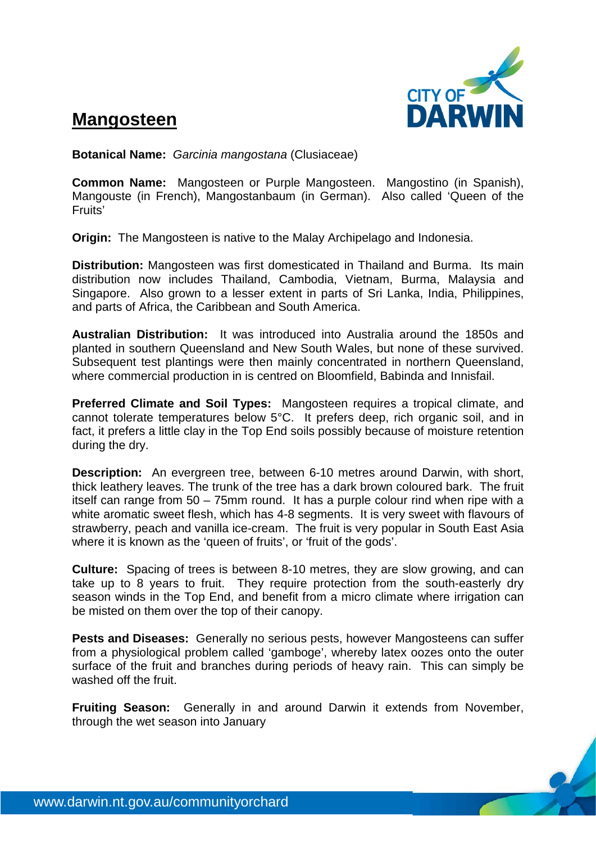

## **Mangosteen**

**Botanical Name:** *Garcinia mangostana* (Clusiaceae)

**Common Name:** Mangosteen or Purple Mangosteen. Mangostino (in Spanish), Mangouste (in French), Mangostanbaum (in German). Also called 'Queen of the Fruits'

**Origin:** The Mangosteen is native to the Malay Archipelago and Indonesia.

**Distribution:** Mangosteen was first domesticated in Thailand and Burma. Its main distribution now includes Thailand, Cambodia, Vietnam, Burma, Malaysia and Singapore. Also grown to a lesser extent in parts of Sri Lanka, India, Philippines, and parts of Africa, the Caribbean and South America.

**Australian Distribution:** It was introduced into Australia around the 1850s and planted in southern Queensland and New South Wales, but none of these survived. Subsequent test plantings were then mainly concentrated in northern Queensland, where commercial production in is centred on Bloomfield, Babinda and Innisfail.

**Preferred Climate and Soil Types:** Mangosteen requires a tropical climate, and cannot tolerate temperatures below 5°C. It prefers deep, rich organic soil, and in fact, it prefers a little clay in the Top End soils possibly because of moisture retention during the dry.

**Description:** An evergreen tree, between 6-10 metres around Darwin, with short, thick leathery leaves. The trunk of the tree has a dark brown coloured bark. The fruit itself can range from 50 – 75mm round. It has a purple colour rind when ripe with a white aromatic sweet flesh, which has 4-8 segments. It is very sweet with flavours of strawberry, peach and vanilla ice-cream. The fruit is very popular in South East Asia where it is known as the 'queen of fruits', or 'fruit of the gods'.

**Culture:** Spacing of trees is between 8-10 metres, they are slow growing, and can take up to 8 years to fruit. They require protection from the south-easterly dry season winds in the Top End, and benefit from a micro climate where irrigation can be misted on them over the top of their canopy.

**Pests and Diseases:** Generally no serious pests, however Mangosteens can suffer from a physiological problem called 'gamboge', whereby latex oozes onto the outer surface of the fruit and branches during periods of heavy rain. This can simply be washed off the fruit.

**Fruiting Season:** Generally in and around Darwin it extends from November, through the wet season into January